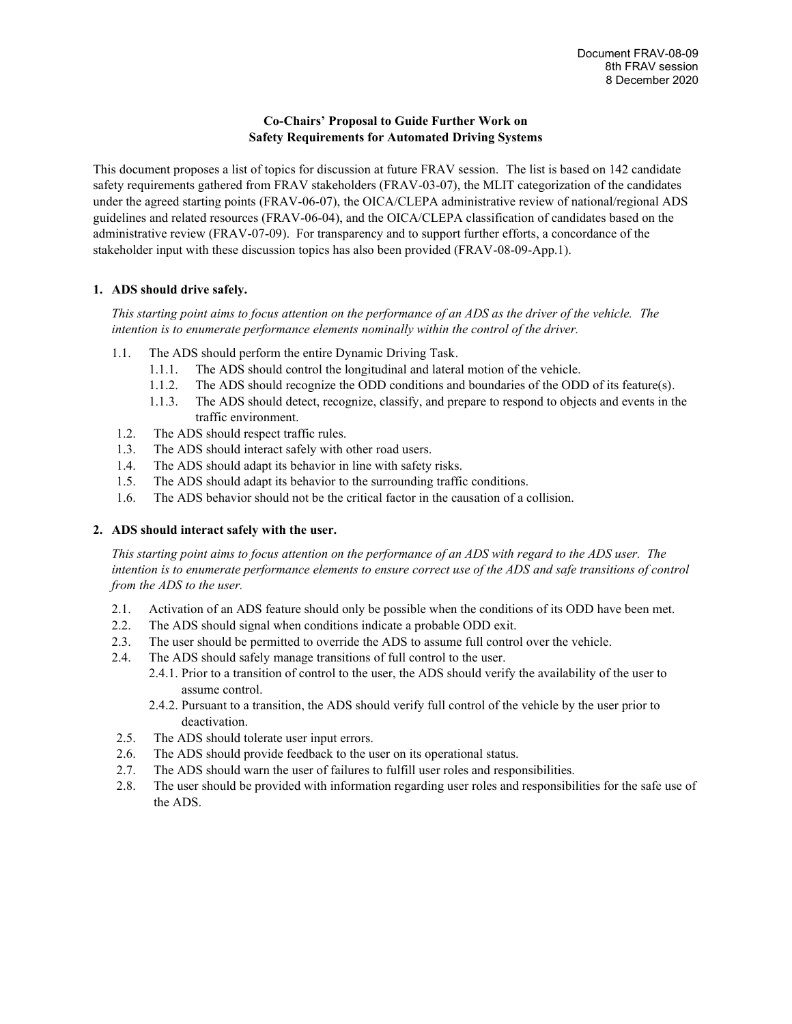# **Co-Chairs' Proposal to Guide Further Work on Safety Requirements for Automated Driving Systems**

This document proposes a list of topics for discussion at future FRAV session. The list is based on 142 candidate safety requirements gathered from FRAV stakeholders (FRAV-03-07), the MLIT categorization of the candidates under the agreed starting points (FRAV-06-07), the OICA/CLEPA administrative review of national/regional ADS guidelines and related resources (FRAV-06-04), and the OICA/CLEPA classification of candidates based on the administrative review (FRAV-07-09). For transparency and to support further efforts, a concordance of the stakeholder input with these discussion topics has also been provided (FRAV-08-09-App.1).

## **1. ADS should drive safely.**

*This starting point aims to focus attention on the performance of an ADS as the driver of the vehicle. The intention is to enumerate performance elements nominally within the control of the driver.*

- 1.1. The ADS should perform the entire Dynamic Driving Task.
	- 1.1.1. The ADS should control the longitudinal and lateral motion of the vehicle.
	- 1.1.2. The ADS should recognize the ODD conditions and boundaries of the ODD of its feature(s).
	- 1.1.3. The ADS should detect, recognize, classify, and prepare to respond to objects and events in the traffic environment.
- 1.2. The ADS should respect traffic rules.
- 1.3. The ADS should interact safely with other road users.
- 1.4. The ADS should adapt its behavior in line with safety risks.
- 1.5. The ADS should adapt its behavior to the surrounding traffic conditions.
- 1.6. The ADS behavior should not be the critical factor in the causation of a collision.

### **2. ADS should interact safely with the user.**

*This starting point aims to focus attention on the performance of an ADS with regard to the ADS user. The intention is to enumerate performance elements to ensure correct use of the ADS and safe transitions of control from the ADS to the user.*

- 2.1. Activation of an ADS feature should only be possible when the conditions of its ODD have been met.
- 2.2. The ADS should signal when conditions indicate a probable ODD exit.
- 2.3. The user should be permitted to override the ADS to assume full control over the vehicle.
- 2.4. The ADS should safely manage transitions of full control to the user.
	- 2.4.1. Prior to a transition of control to the user, the ADS should verify the availability of the user to assume control.
	- 2.4.2. Pursuant to a transition, the ADS should verify full control of the vehicle by the user prior to deactivation.
- 2.5. The ADS should tolerate user input errors.
- 2.6. The ADS should provide feedback to the user on its operational status.
- 2.7. The ADS should warn the user of failures to fulfill user roles and responsibilities.
- 2.8. The user should be provided with information regarding user roles and responsibilities for the safe use of the ADS.